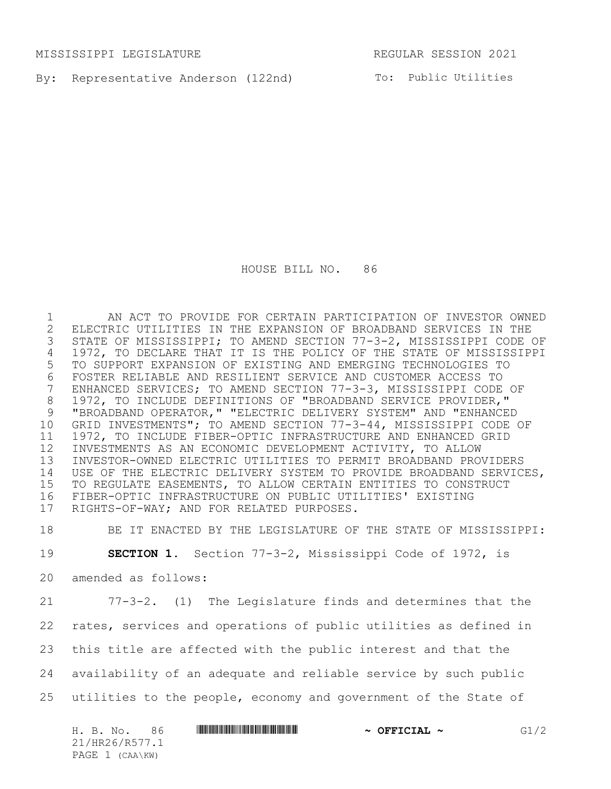MISSISSIPPI LEGISLATURE REGULAR SESSION 2021

By: Representative Anderson (122nd) To: Public Utilities

HOUSE BILL NO. 86

 AN ACT TO PROVIDE FOR CERTAIN PARTICIPATION OF INVESTOR OWNED 2 ELECTRIC UTILITIES IN THE EXPANSION OF BROADBAND SERVICES IN THE<br>3 STATE OF MISSISSIPPI; TO AMEND SECTION 77-3-2, MISSISSIPPI CODE STATE OF MISSISSIPPI; TO AMEND SECTION 77-3-2, MISSISSIPPI CODE OF 1972, TO DECLARE THAT IT IS THE POLICY OF THE STATE OF MISSISSIPPI TO SUPPORT EXPANSION OF EXISTING AND EMERGING TECHNOLOGIES TO 6 FOSTER RELIABLE AND RESILIENT SERVICE AND CUSTOMER ACCESS TO<br>7 ENHANCED SERVICES; TO AMEND SECTION 77-3-3, MISSISSIPPI CODE ENHANCED SERVICES; TO AMEND SECTION 77-3-3, MISSISSIPPI CODE OF 1972, TO INCLUDE DEFINITIONS OF "BROADBAND SERVICE PROVIDER," "BROADBAND OPERATOR," "ELECTRIC DELIVERY SYSTEM" AND "ENHANCED GRID INVESTMENTS"; TO AMEND SECTION 77-3-44, MISSISSIPPI CODE OF 1972, TO INCLUDE FIBER-OPTIC INFRASTRUCTURE AND ENHANCED GRID INVESTMENTS AS AN ECONOMIC DEVELOPMENT ACTIVITY, TO ALLOW INVESTOR-OWNED ELECTRIC UTILITIES TO PERMIT BROADBAND PROVIDERS USE OF THE ELECTRIC DELIVERY SYSTEM TO PROVIDE BROADBAND SERVICES, TO REGULATE EASEMENTS, TO ALLOW CERTAIN ENTITIES TO CONSTRUCT FIBER-OPTIC INFRASTRUCTURE ON PUBLIC UTILITIES' EXISTING RIGHTS-OF-WAY; AND FOR RELATED PURPOSES.

BE IT ENACTED BY THE LEGISLATURE OF THE STATE OF MISSISSIPPI:

**SECTION 1.** Section 77-3-2, Mississippi Code of 1972, is

amended as follows:

 77-3-2. (1) The Legislature finds and determines that the rates, services and operations of public utilities as defined in this title are affected with the public interest and that the availability of an adequate and reliable service by such public utilities to the people, economy and government of the State of

| 86<br>H. B. No. | G1/2<br>$\sim$ OFFICIAL $\sim$ |  |
|-----------------|--------------------------------|--|
| 21/HR26/R577.1  |                                |  |
| PAGE 1 (CAA\KW) |                                |  |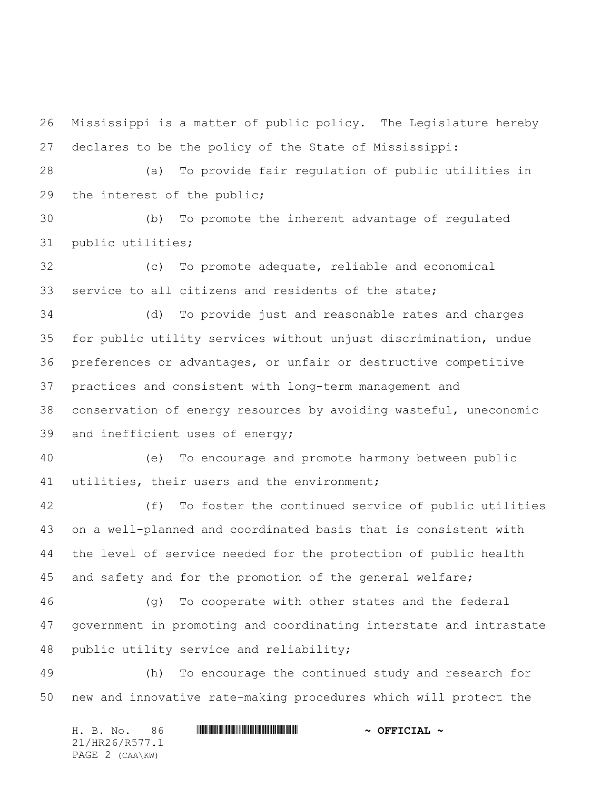Mississippi is a matter of public policy. The Legislature hereby declares to be the policy of the State of Mississippi:

 (a) To provide fair regulation of public utilities in the interest of the public;

 (b) To promote the inherent advantage of regulated public utilities;

 (c) To promote adequate, reliable and economical service to all citizens and residents of the state;

 (d) To provide just and reasonable rates and charges for public utility services without unjust discrimination, undue preferences or advantages, or unfair or destructive competitive practices and consistent with long-term management and conservation of energy resources by avoiding wasteful, uneconomic and inefficient uses of energy;

 (e) To encourage and promote harmony between public utilities, their users and the environment;

 (f) To foster the continued service of public utilities on a well-planned and coordinated basis that is consistent with the level of service needed for the protection of public health and safety and for the promotion of the general welfare;

 (g) To cooperate with other states and the federal government in promoting and coordinating interstate and intrastate public utility service and reliability;

 (h) To encourage the continued study and research for new and innovative rate-making procedures which will protect the

H. B. No. 86 \*HR26/R577.1\* **~ OFFICIAL ~** 21/HR26/R577.1 PAGE 2 (CAA\KW)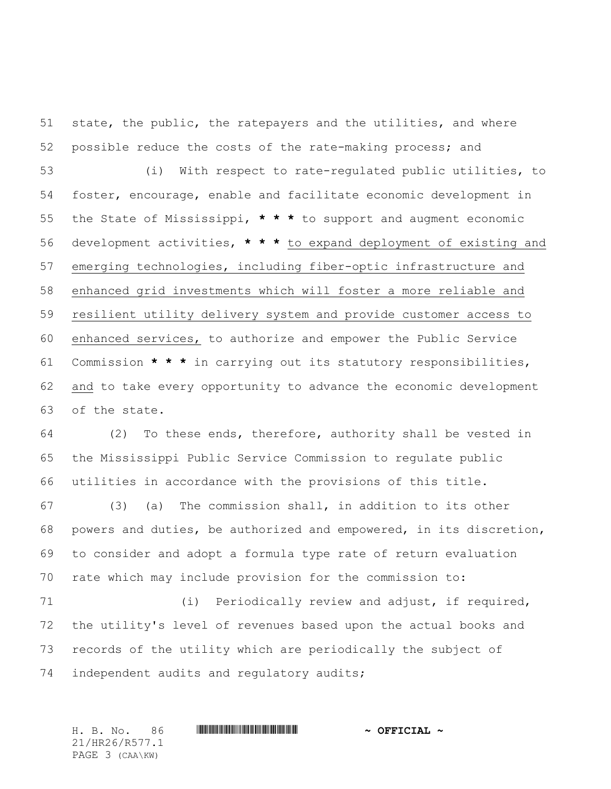state, the public, the ratepayers and the utilities, and where possible reduce the costs of the rate-making process; and (i) With respect to rate-regulated public utilities, to foster, encourage, enable and facilitate economic development in the State of Mississippi, **\* \* \*** to support and augment economic development activities, **\* \* \*** to expand deployment of existing and emerging technologies, including fiber-optic infrastructure and enhanced grid investments which will foster a more reliable and resilient utility delivery system and provide customer access to enhanced services, to authorize and empower the Public Service Commission **\* \* \*** in carrying out its statutory responsibilities, and to take every opportunity to advance the economic development of the state.

 (2) To these ends, therefore, authority shall be vested in the Mississippi Public Service Commission to regulate public utilities in accordance with the provisions of this title.

 (3) (a) The commission shall, in addition to its other powers and duties, be authorized and empowered, in its discretion, to consider and adopt a formula type rate of return evaluation rate which may include provision for the commission to:

71 (i) Periodically review and adjust, if required, the utility's level of revenues based upon the actual books and records of the utility which are periodically the subject of 74 independent audits and regulatory audits;

H. B. No. 86 \*HR26/R577.1\* **~ OFFICIAL ~** 21/HR26/R577.1 PAGE 3 (CAA\KW)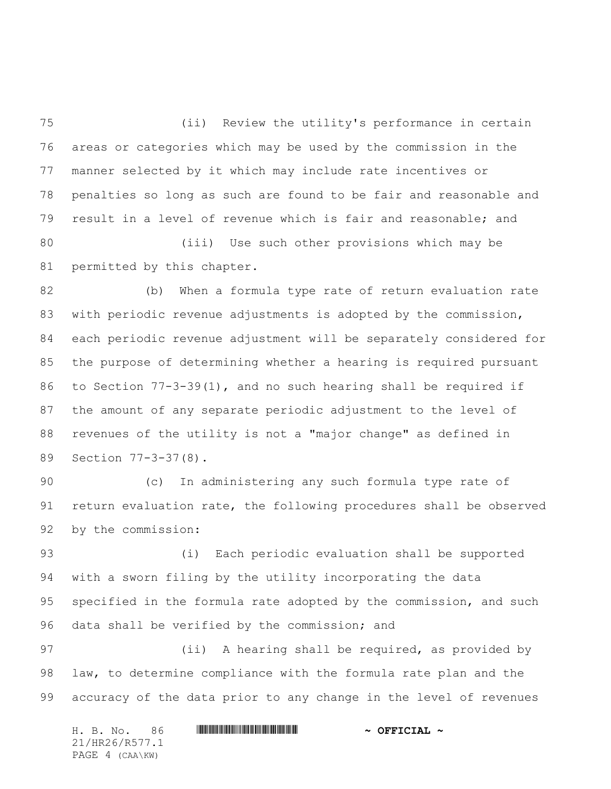(ii) Review the utility's performance in certain areas or categories which may be used by the commission in the manner selected by it which may include rate incentives or penalties so long as such are found to be fair and reasonable and result in a level of revenue which is fair and reasonable; and (iii) Use such other provisions which may be

permitted by this chapter.

 (b) When a formula type rate of return evaluation rate with periodic revenue adjustments is adopted by the commission, each periodic revenue adjustment will be separately considered for the purpose of determining whether a hearing is required pursuant to Section 77-3-39(1), and no such hearing shall be required if the amount of any separate periodic adjustment to the level of revenues of the utility is not a "major change" as defined in Section 77-3-37(8).

 (c) In administering any such formula type rate of return evaluation rate, the following procedures shall be observed by the commission:

 (i) Each periodic evaluation shall be supported with a sworn filing by the utility incorporating the data specified in the formula rate adopted by the commission, and such data shall be verified by the commission; and

97 (ii) A hearing shall be required, as provided by law, to determine compliance with the formula rate plan and the accuracy of the data prior to any change in the level of revenues

| H. B. No.       |  | $\sim$ OFFICIAL $\sim$ |
|-----------------|--|------------------------|
| 21/HR26/R577.1  |  |                        |
| PAGE 4 (CAA\KW) |  |                        |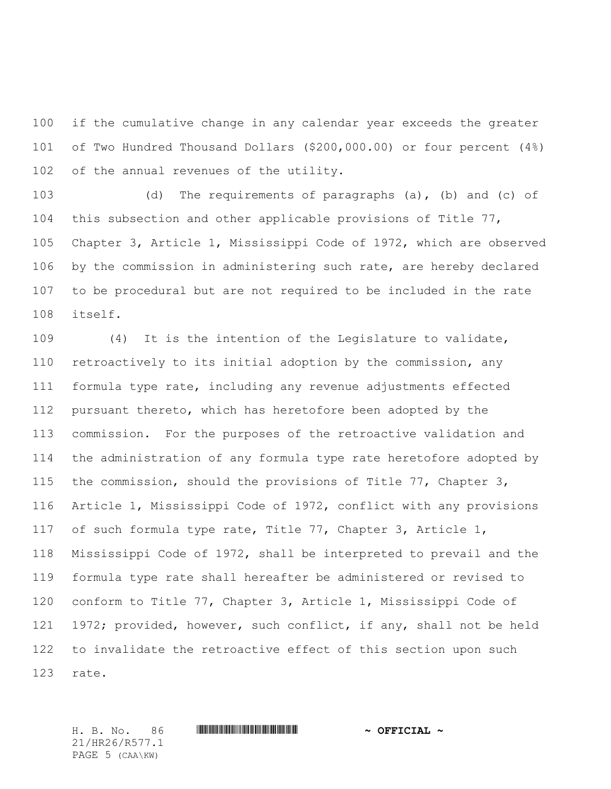if the cumulative change in any calendar year exceeds the greater of Two Hundred Thousand Dollars (\$200,000.00) or four percent (4%) 102 of the annual revenues of the utility.

 (d) The requirements of paragraphs (a), (b) and (c) of this subsection and other applicable provisions of Title 77, Chapter 3, Article 1, Mississippi Code of 1972, which are observed by the commission in administering such rate, are hereby declared to be procedural but are not required to be included in the rate itself.

 (4) It is the intention of the Legislature to validate, retroactively to its initial adoption by the commission, any formula type rate, including any revenue adjustments effected pursuant thereto, which has heretofore been adopted by the commission. For the purposes of the retroactive validation and the administration of any formula type rate heretofore adopted by the commission, should the provisions of Title 77, Chapter 3, Article 1, Mississippi Code of 1972, conflict with any provisions of such formula type rate, Title 77, Chapter 3, Article 1, Mississippi Code of 1972, shall be interpreted to prevail and the formula type rate shall hereafter be administered or revised to conform to Title 77, Chapter 3, Article 1, Mississippi Code of 1972; provided, however, such conflict, if any, shall not be held to invalidate the retroactive effect of this section upon such rate.

21/HR26/R577.1 PAGE 5 (CAA\KW)

H. B. No. 86 \*HR26/R577.1\* **~ OFFICIAL ~**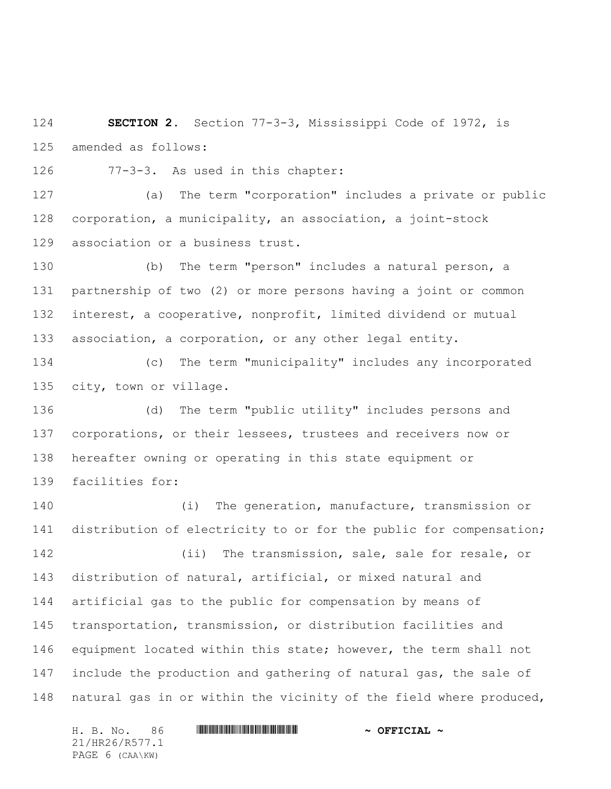**SECTION 2.** Section 77-3-3, Mississippi Code of 1972, is amended as follows:

77-3-3. As used in this chapter:

 (a) The term "corporation" includes a private or public corporation, a municipality, an association, a joint-stock association or a business trust.

 (b) The term "person" includes a natural person, a partnership of two (2) or more persons having a joint or common interest, a cooperative, nonprofit, limited dividend or mutual association, a corporation, or any other legal entity.

 (c) The term "municipality" includes any incorporated city, town or village.

 (d) The term "public utility" includes persons and corporations, or their lessees, trustees and receivers now or hereafter owning or operating in this state equipment or facilities for:

 (i) The generation, manufacture, transmission or distribution of electricity to or for the public for compensation;

142 (ii) The transmission, sale, sale for resale, or distribution of natural, artificial, or mixed natural and artificial gas to the public for compensation by means of transportation, transmission, or distribution facilities and 146 equipment located within this state; however, the term shall not 147 include the production and gathering of natural gas, the sale of natural gas in or within the vicinity of the field where produced,

21/HR26/R577.1 PAGE 6 (CAA\KW)

## H. B. No. 86 \*HR26/R577.1\* **~ OFFICIAL ~**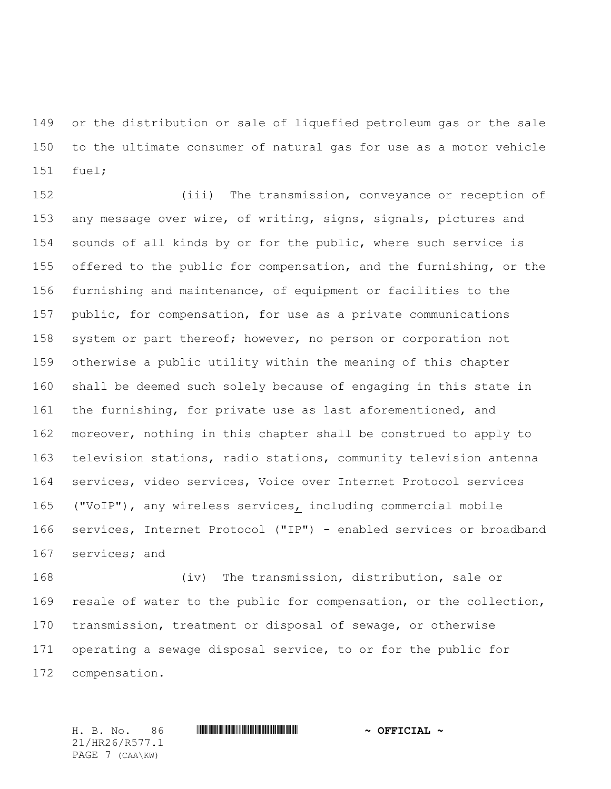or the distribution or sale of liquefied petroleum gas or the sale to the ultimate consumer of natural gas for use as a motor vehicle fuel;

 (iii) The transmission, conveyance or reception of any message over wire, of writing, signs, signals, pictures and sounds of all kinds by or for the public, where such service is offered to the public for compensation, and the furnishing, or the furnishing and maintenance, of equipment or facilities to the public, for compensation, for use as a private communications system or part thereof; however, no person or corporation not otherwise a public utility within the meaning of this chapter shall be deemed such solely because of engaging in this state in the furnishing, for private use as last aforementioned, and 162 moreover, nothing in this chapter shall be construed to apply to television stations, radio stations, community television antenna services, video services, Voice over Internet Protocol services ("VoIP"), any wireless services, including commercial mobile services, Internet Protocol ("IP") - enabled services or broadband services; and

 (iv) The transmission, distribution, sale or resale of water to the public for compensation, or the collection, transmission, treatment or disposal of sewage, or otherwise operating a sewage disposal service, to or for the public for compensation.

H. B. No. 86 \*HR26/R577.1\* **~ OFFICIAL ~** 21/HR26/R577.1 PAGE 7 (CAA\KW)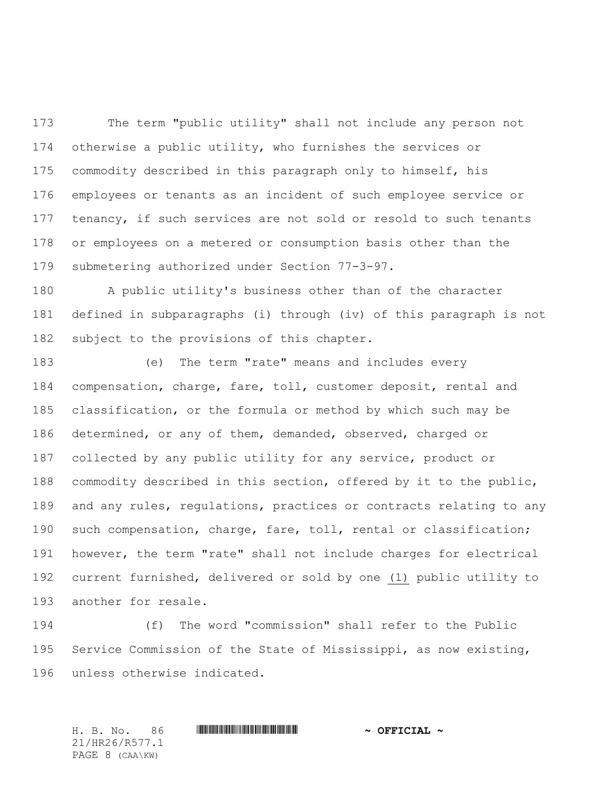The term "public utility" shall not include any person not otherwise a public utility, who furnishes the services or commodity described in this paragraph only to himself, his employees or tenants as an incident of such employee service or 177 tenancy, if such services are not sold or resold to such tenants or employees on a metered or consumption basis other than the submetering authorized under Section 77-3-97.

 A public utility's business other than of the character defined in subparagraphs (i) through (iv) of this paragraph is not subject to the provisions of this chapter.

 (e) The term "rate" means and includes every compensation, charge, fare, toll, customer deposit, rental and classification, or the formula or method by which such may be determined, or any of them, demanded, observed, charged or collected by any public utility for any service, product or commodity described in this section, offered by it to the public, and any rules, regulations, practices or contracts relating to any such compensation, charge, fare, toll, rental or classification; however, the term "rate" shall not include charges for electrical current furnished, delivered or sold by one (1) public utility to another for resale.

 (f) The word "commission" shall refer to the Public Service Commission of the State of Mississippi, as now existing, unless otherwise indicated.

H. B. No. 86 \*HR26/R577.1\* **~ OFFICIAL ~** 21/HR26/R577.1 PAGE 8 (CAA\KW)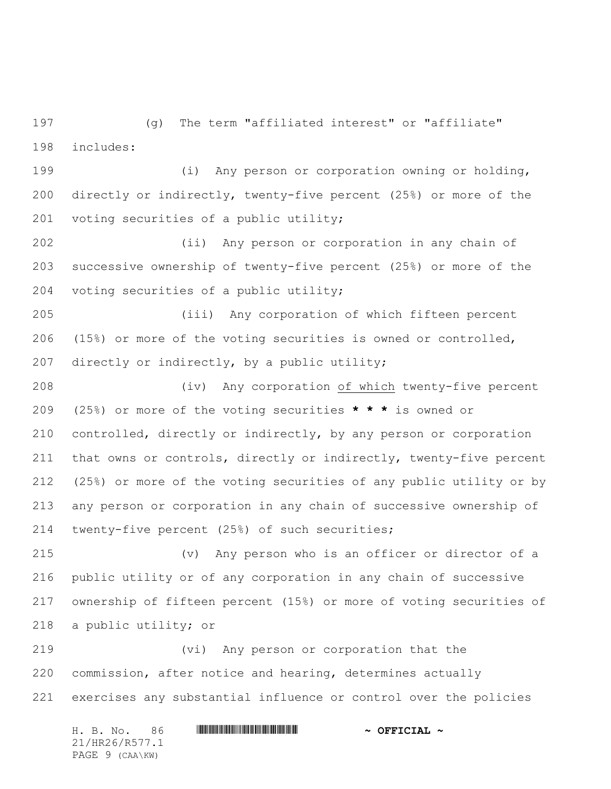(g) The term "affiliated interest" or "affiliate" includes:

 (i) Any person or corporation owning or holding, directly or indirectly, twenty-five percent (25%) or more of the voting securities of a public utility;

 (ii) Any person or corporation in any chain of successive ownership of twenty-five percent (25%) or more of the voting securities of a public utility;

 (iii) Any corporation of which fifteen percent (15%) or more of the voting securities is owned or controlled, 207 directly or indirectly, by a public utility;

 (iv) Any corporation of which twenty-five percent (25%) or more of the voting securities **\* \* \*** is owned or controlled, directly or indirectly, by any person or corporation that owns or controls, directly or indirectly, twenty-five percent (25%) or more of the voting securities of any public utility or by any person or corporation in any chain of successive ownership of twenty-five percent (25%) of such securities;

 (v) Any person who is an officer or director of a public utility or of any corporation in any chain of successive ownership of fifteen percent (15%) or more of voting securities of a public utility; or

 (vi) Any person or corporation that the commission, after notice and hearing, determines actually exercises any substantial influence or control over the policies

H. B. No. 86 \*HR26/R577.1\* **~ OFFICIAL ~** 21/HR26/R577.1 PAGE 9 (CAA\KW)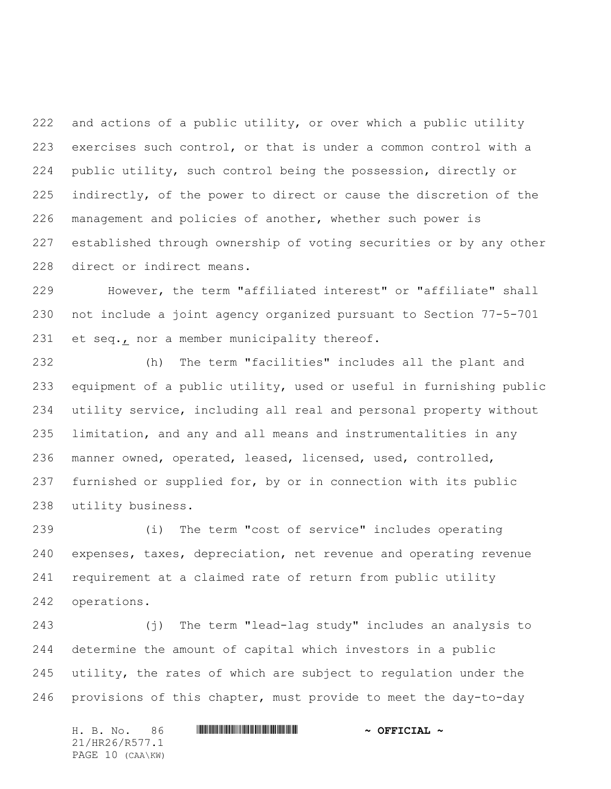and actions of a public utility, or over which a public utility exercises such control, or that is under a common control with a public utility, such control being the possession, directly or indirectly, of the power to direct or cause the discretion of the management and policies of another, whether such power is established through ownership of voting securities or by any other direct or indirect means.

 However, the term "affiliated interest" or "affiliate" shall not include a joint agency organized pursuant to Section 77-5-701 et seq., nor a member municipality thereof.

 (h) The term "facilities" includes all the plant and equipment of a public utility, used or useful in furnishing public utility service, including all real and personal property without limitation, and any and all means and instrumentalities in any manner owned, operated, leased, licensed, used, controlled, furnished or supplied for, by or in connection with its public utility business.

 (i) The term "cost of service" includes operating expenses, taxes, depreciation, net revenue and operating revenue requirement at a claimed rate of return from public utility operations.

 (j) The term "lead-lag study" includes an analysis to determine the amount of capital which investors in a public utility, the rates of which are subject to regulation under the provisions of this chapter, must provide to meet the day-to-day

H. B. No. 86 \*HR26/R577.1\* **~ OFFICIAL ~** 21/HR26/R577.1 PAGE 10 (CAA\KW)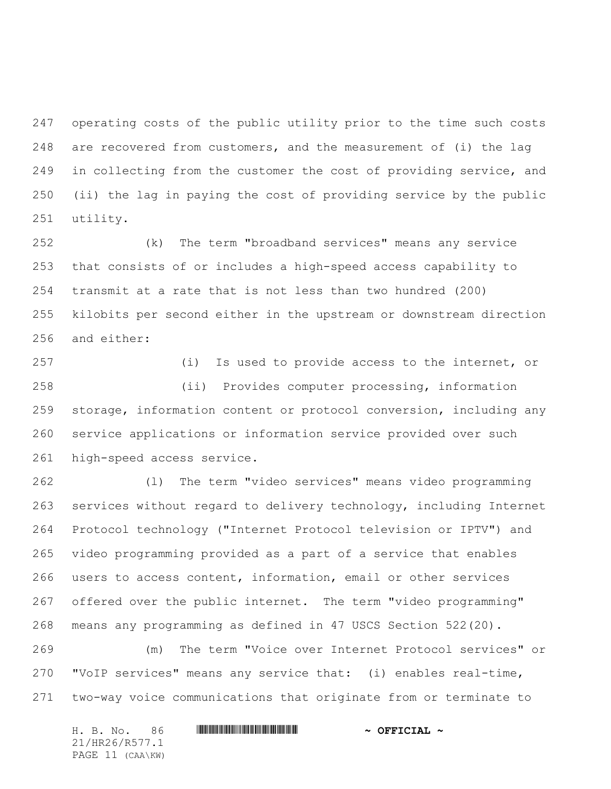operating costs of the public utility prior to the time such costs are recovered from customers, and the measurement of (i) the lag in collecting from the customer the cost of providing service, and (ii) the lag in paying the cost of providing service by the public utility.

 (k) The term "broadband services" means any service that consists of or includes a high-speed access capability to transmit at a rate that is not less than two hundred (200) kilobits per second either in the upstream or downstream direction and either:

 (i) Is used to provide access to the internet, or (ii) Provides computer processing, information storage, information content or protocol conversion, including any service applications or information service provided over such high-speed access service.

 (l) The term "video services" means video programming services without regard to delivery technology, including Internet Protocol technology ("Internet Protocol television or IPTV") and video programming provided as a part of a service that enables users to access content, information, email or other services offered over the public internet. The term "video programming" means any programming as defined in 47 USCS Section 522(20).

 (m) The term "Voice over Internet Protocol services" or "VoIP services" means any service that: (i) enables real-time, two-way voice communications that originate from or terminate to

| 86<br>H. B. No.  | $\sim$ OFFICIAL $\sim$ |
|------------------|------------------------|
| 21/HR26/R577.1   |                        |
| PAGE 11 (CAA\KW) |                        |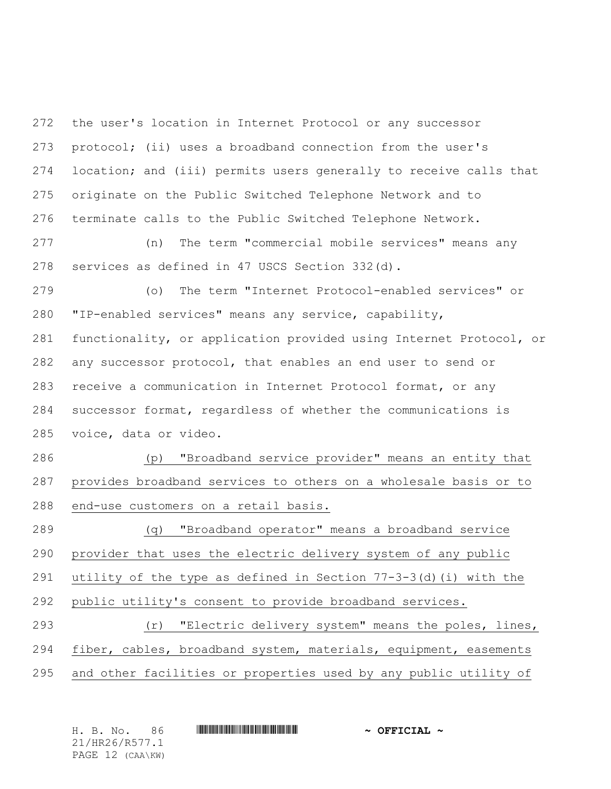the user's location in Internet Protocol or any successor protocol; (ii) uses a broadband connection from the user's location; and (iii) permits users generally to receive calls that originate on the Public Switched Telephone Network and to terminate calls to the Public Switched Telephone Network.

 (n) The term "commercial mobile services" means any services as defined in 47 USCS Section 332(d).

 (o) The term "Internet Protocol-enabled services" or "IP-enabled services" means any service, capability, functionality, or application provided using Internet Protocol, or any successor protocol, that enables an end user to send or receive a communication in Internet Protocol format, or any successor format, regardless of whether the communications is voice, data or video.

 (p) "Broadband service provider" means an entity that provides broadband services to others on a wholesale basis or to end-use customers on a retail basis.

 (q) "Broadband operator" means a broadband service provider that uses the electric delivery system of any public utility of the type as defined in Section 77-3-3(d)(i) with the public utility's consent to provide broadband services.

 (r) "Electric delivery system" means the poles, lines, fiber, cables, broadband system, materials, equipment, easements and other facilities or properties used by any public utility of

H. B. No. 86 \*HR26/R577.1\* **~ OFFICIAL ~** 21/HR26/R577.1 PAGE 12 (CAA\KW)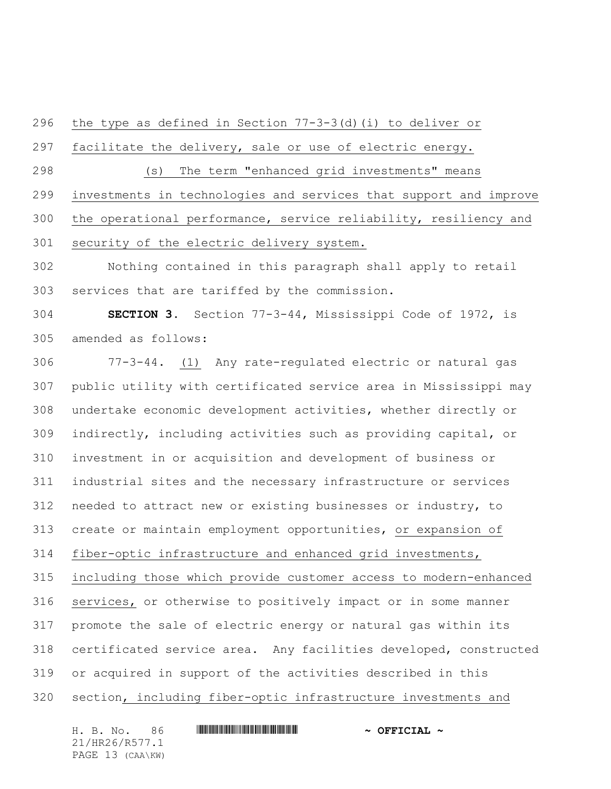the type as defined in Section 77-3-3(d)(i) to deliver or

facilitate the delivery, sale or use of electric energy.

 (s) The term "enhanced grid investments" means investments in technologies and services that support and improve the operational performance, service reliability, resiliency and security of the electric delivery system.

 Nothing contained in this paragraph shall apply to retail services that are tariffed by the commission.

 **SECTION 3.** Section 77-3-44, Mississippi Code of 1972, is amended as follows:

 77-3-44. (1) Any rate-regulated electric or natural gas public utility with certificated service area in Mississippi may undertake economic development activities, whether directly or indirectly, including activities such as providing capital, or investment in or acquisition and development of business or industrial sites and the necessary infrastructure or services needed to attract new or existing businesses or industry, to create or maintain employment opportunities, or expansion of fiber-optic infrastructure and enhanced grid investments, including those which provide customer access to modern-enhanced services, or otherwise to positively impact or in some manner promote the sale of electric energy or natural gas within its certificated service area. Any facilities developed, constructed or acquired in support of the activities described in this section, including fiber-optic infrastructure investments and

H. B. No. 86 \*HR26/R577.1\* **~ OFFICIAL ~** 21/HR26/R577.1 PAGE 13 (CAA\KW)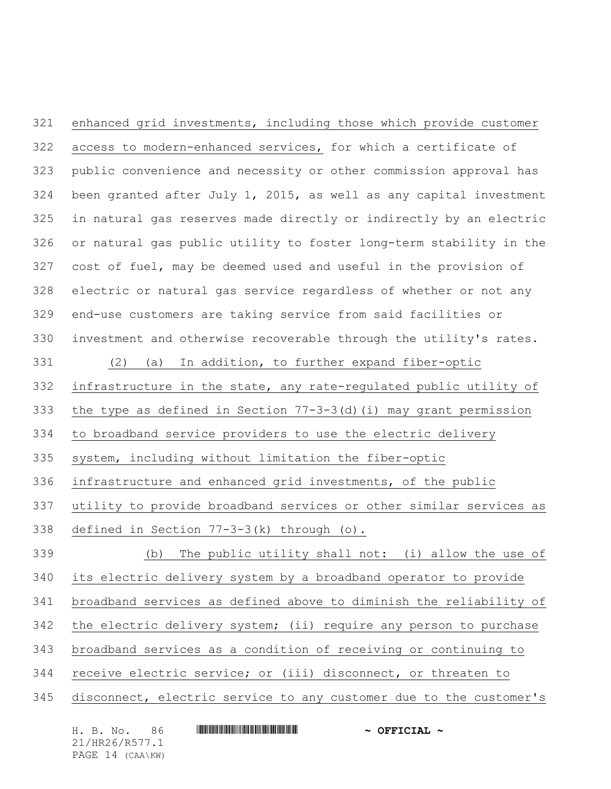enhanced grid investments, including those which provide customer access to modern-enhanced services, for which a certificate of public convenience and necessity or other commission approval has been granted after July 1, 2015, as well as any capital investment in natural gas reserves made directly or indirectly by an electric or natural gas public utility to foster long-term stability in the cost of fuel, may be deemed used and useful in the provision of electric or natural gas service regardless of whether or not any end-use customers are taking service from said facilities or investment and otherwise recoverable through the utility's rates. (2) (a) In addition, to further expand fiber-optic infrastructure in the state, any rate-regulated public utility of the type as defined in Section 77-3-3(d)(i) may grant permission to broadband service providers to use the electric delivery system, including without limitation the fiber-optic infrastructure and enhanced grid investments, of the public utility to provide broadband services or other similar services as defined in Section 77-3-3(k) through (o). (b) The public utility shall not: (i) allow the use of its electric delivery system by a broadband operator to provide broadband services as defined above to diminish the reliability of the electric delivery system; (ii) require any person to purchase broadband services as a condition of receiving or continuing to receive electric service; or (iii) disconnect, or threaten to disconnect, electric service to any customer due to the customer's

H. B. No. 86 \*HR26/R577.1\* **~ OFFICIAL ~** 21/HR26/R577.1 PAGE 14 (CAA\KW)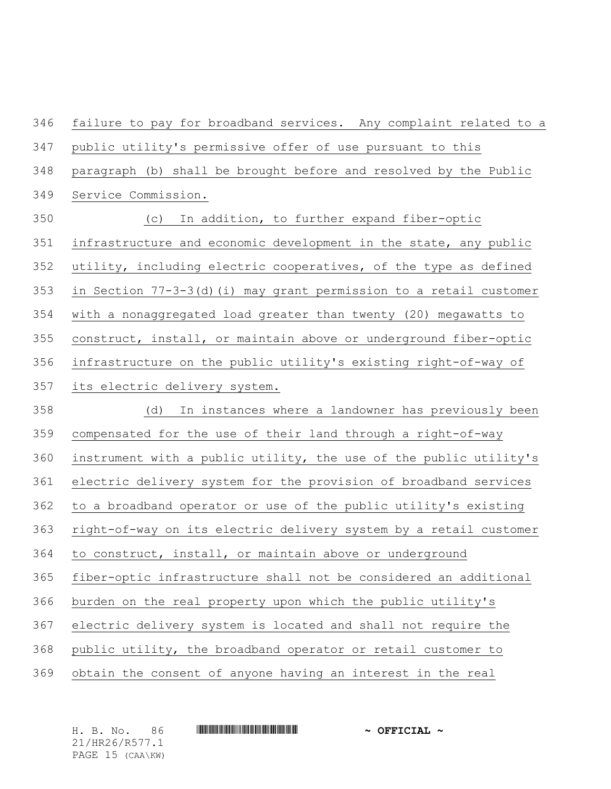failure to pay for broadband services. Any complaint related to a public utility's permissive offer of use pursuant to this paragraph (b) shall be brought before and resolved by the Public Service Commission. (c) In addition, to further expand fiber-optic infrastructure and economic development in the state, any public utility, including electric cooperatives, of the type as defined in Section 77-3-3(d)(i) may grant permission to a retail customer with a nonaggregated load greater than twenty (20) megawatts to construct, install, or maintain above or underground fiber-optic infrastructure on the public utility's existing right-of-way of its electric delivery system. (d) In instances where a landowner has previously been compensated for the use of their land through a right-of-way instrument with a public utility, the use of the public utility's electric delivery system for the provision of broadband services to a broadband operator or use of the public utility's existing right-of-way on its electric delivery system by a retail customer to construct, install, or maintain above or underground fiber-optic infrastructure shall not be considered an additional burden on the real property upon which the public utility's electric delivery system is located and shall not require the public utility, the broadband operator or retail customer to obtain the consent of anyone having an interest in the real

H. B. No. 86 \*HR26/R577.1\* **~ OFFICIAL ~** 21/HR26/R577.1 PAGE 15 (CAA\KW)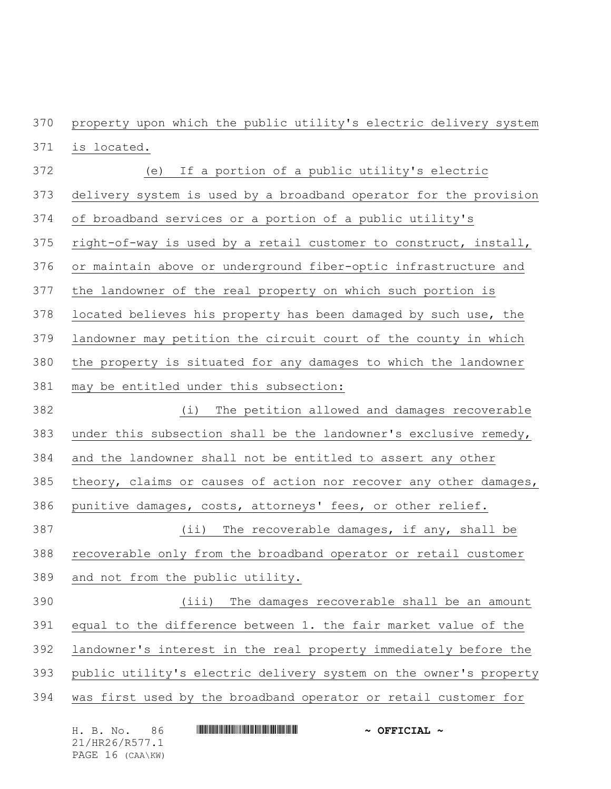property upon which the public utility's electric delivery system

is located.

 (e) If a portion of a public utility's electric delivery system is used by a broadband operator for the provision of broadband services or a portion of a public utility's right-of-way is used by a retail customer to construct, install, or maintain above or underground fiber-optic infrastructure and the landowner of the real property on which such portion is located believes his property has been damaged by such use, the landowner may petition the circuit court of the county in which the property is situated for any damages to which the landowner may be entitled under this subsection: (i) The petition allowed and damages recoverable under this subsection shall be the landowner's exclusive remedy, and the landowner shall not be entitled to assert any other 385 theory, claims or causes of action nor recover any other damages, punitive damages, costs, attorneys' fees, or other relief. (ii) The recoverable damages, if any, shall be recoverable only from the broadband operator or retail customer and not from the public utility. (iii) The damages recoverable shall be an amount equal to the difference between 1. the fair market value of the landowner's interest in the real property immediately before the public utility's electric delivery system on the owner's property was first used by the broadband operator or retail customer for

|  | H. B. No.        | 86. |  | $\sim$ OFFICIAL $\sim$ |
|--|------------------|-----|--|------------------------|
|  | 21/HR26/R577.1   |     |  |                        |
|  | PAGE 16 (CAA\KW) |     |  |                        |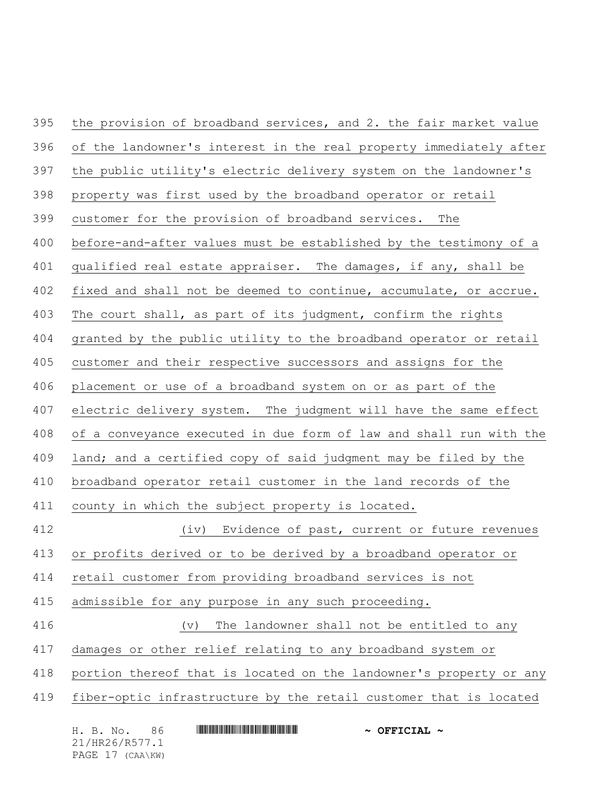the provision of broadband services, and 2. the fair market value 396 of the landowner's interest in the real property immediately after the public utility's electric delivery system on the landowner's property was first used by the broadband operator or retail customer for the provision of broadband services. The before-and-after values must be established by the testimony of a qualified real estate appraiser. The damages, if any, shall be fixed and shall not be deemed to continue, accumulate, or accrue. The court shall, as part of its judgment, confirm the rights granted by the public utility to the broadband operator or retail customer and their respective successors and assigns for the placement or use of a broadband system on or as part of the electric delivery system. The judgment will have the same effect of a conveyance executed in due form of law and shall run with the land; and a certified copy of said judgment may be filed by the broadband operator retail customer in the land records of the county in which the subject property is located. (iv) Evidence of past, current or future revenues or profits derived or to be derived by a broadband operator or retail customer from providing broadband services is not admissible for any purpose in any such proceeding. (v) The landowner shall not be entitled to any damages or other relief relating to any broadband system or portion thereof that is located on the landowner's property or any fiber-optic infrastructure by the retail customer that is located

|  | H. B. No.        | -86 | $\sim$ OFFICIAL $\sim$ |  |
|--|------------------|-----|------------------------|--|
|  | 21/HR26/R577.1   |     |                        |  |
|  | PAGE 17 (CAA\KW) |     |                        |  |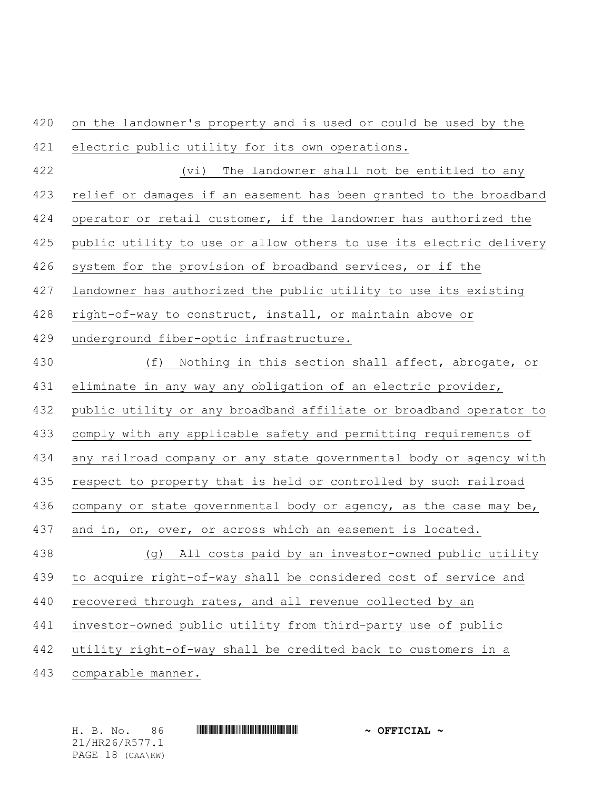on the landowner's property and is used or could be used by the electric public utility for its own operations.

 (vi) The landowner shall not be entitled to any relief or damages if an easement has been granted to the broadband operator or retail customer, if the landowner has authorized the public utility to use or allow others to use its electric delivery system for the provision of broadband services, or if the landowner has authorized the public utility to use its existing right-of-way to construct, install, or maintain above or underground fiber-optic infrastructure.

 (f) Nothing in this section shall affect, abrogate, or eliminate in any way any obligation of an electric provider, public utility or any broadband affiliate or broadband operator to comply with any applicable safety and permitting requirements of any railroad company or any state governmental body or agency with respect to property that is held or controlled by such railroad 436 company or state governmental body or agency, as the case may be, and in, on, over, or across which an easement is located. (g) All costs paid by an investor-owned public utility to acquire right-of-way shall be considered cost of service and 440 recovered through rates, and all revenue collected by an investor-owned public utility from third-party use of public utility right-of-way shall be credited back to customers in a comparable manner.

21/HR26/R577.1 PAGE 18 (CAA\KW)

H. B. No. 86 \*HR26/R577.1\* **~ OFFICIAL ~**